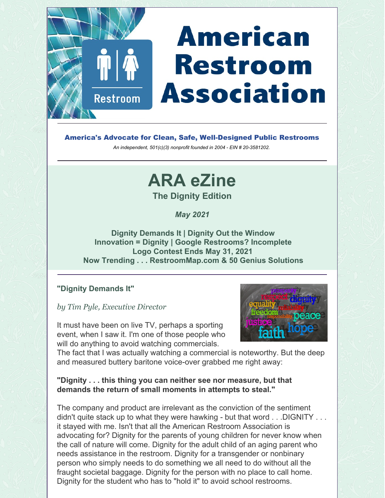# **American Restroom Association**

America's Advocate for Clean, Safe, Well-Designed Public Restrooms

*An independent, 501(c)(3) nonprofit founded in 2004 - EIN # 20-3581202.*

# **ARA eZine**

**The Dignity Edition**

*May 2021*

**Dignity Demands It | Dignity Out the Window Innovation = Dignity | Google Restrooms? Incomplete Logo Contest Ends May 31, 2021 Now Trending . . . RestroomMap.com & 50 Genius Solutions**

#### **"Dignity Demands It"**

*by Tim Pyle, Executive Director*

**Restroom** 

It must have been on live TV, perhaps a sporting event, when I saw it. I'm one of those people who will do anything to avoid watching commercials.



The fact that I was actually watching a commercial is noteworthy. But the deep and measured buttery baritone voice-over grabbed me right away:

#### **"Dignity . . . this thing you can neither see nor measure, but that demands the return of small moments in attempts to steal."**

The company and product are irrelevant as the conviction of the sentiment didn't quite stack up to what they were hawking - but that word . . . DIGNITY . . . it stayed with me. Isn't that all the American Restroom Association is advocating for? Dignity for the parents of young children for never know when the call of nature will come. Dignity for the adult child of an aging parent who needs assistance in the restroom. Dignity for a transgender or nonbinary person who simply needs to do something we all need to do without all the fraught societal baggage. Dignity for the person with no place to call home. Dignity for the student who has to "hold it" to avoid school restrooms.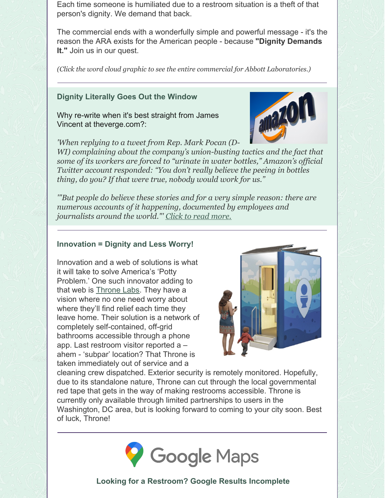Each time someone is humiliated due to a restroom situation is a theft of that person's dignity. We demand that back.

The commercial ends with a wonderfully simple and powerful message - it's the reason the ARA exists for the American people - because **"Dignity Demands It."** Join us in our quest.

*(Click the word cloud graphic to see the entire commercial for Abbott Laboratories.)*

#### **Dignity Literally Goes Out the Window**

Why re-write when it's best straight from James Vincent at theverge.com?:

*'When replying to a tweet from Rep. Mark Pocan (D-*

*WI) complaining about the company's union-busting tactics and the fact that some of its workers are forced to "urinate in water bottles," Amazon's of icial Twitter account responded: "You don't really believe the peeing in bottles thing, do you? If that were true, nobody would work for us."*

*'"But people do believe these stories and for a very simple reason: there are numerous accounts of it happening, documented by employees and journalists around the world."' Click to read [more.](https://www.theverge.com/2021/3/25/22350337/amazon-peeing-in-bottles-workers-exploitation-twitter-response-evidence)*

#### **Innovation = Dignity and Less Worry!**

Innovation and a web of solutions is what it will take to solve America's 'Potty Problem.' One such innovator adding to that web is [Throne](https://www.thronelabs.co/about-1) Labs. They have a vision where no one need worry about where they'll find relief each time they leave home. Their solution is a network of completely self-contained, off-grid bathrooms accessible through a phone app. Last restroom visitor reported a – ahem - 'subpar' location? That Throne is taken immediately out of service and a



amazo

cleaning crew dispatched. Exterior security is remotely monitored. Hopefully, due to its standalone nature, Throne can cut through the local governmental red tape that gets in the way of making restrooms accessible. Throne is currently only available through limited partnerships to users in the Washington, DC area, but is looking forward to coming to your city soon. Best of luck, Throne!



#### **Looking for a Restroom? Google Results Incomplete**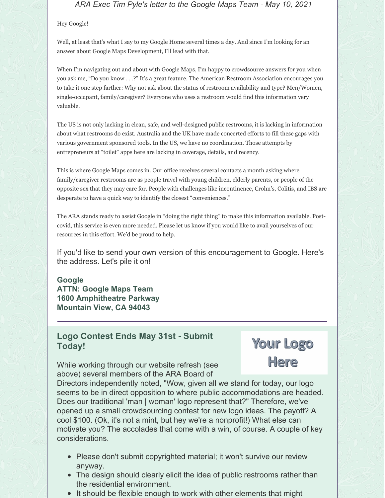*ARA Exec Tim Pyle's letter to the Google Maps Team - May 10, 2021*

#### Hey Google!

Well, at least that's what I say to my Google Home several times a day. And since I'm looking for an answer about Google Maps Development, I'll lead with that.

When I'm navigating out and about with Google Maps, I'm happy to crowdsource answers for you when you ask me, "Do you know . . .?" It's a great feature. The American Restroom Association encourages you to take it one step farther: Why not ask about the status of restroom availability and type? Men/Women, single-occupant, family/caregiver? Everyone who uses a restroom would find this information very valuable.

The US is not only lacking in clean, safe, and well-designed public restrooms, it is lacking in information about what restrooms do exist. Australia and the UK have made concerted efforts to fill these gaps with various government sponsored tools. In the US, we have no coordination. Those attempts by entrepreneurs at "toilet" apps here are lacking in coverage, details, and recency.

This is where Google Maps comes in. Our office receives several contacts a month asking where family/caregiver restrooms are as people travel with young children, elderly parents, or people of the opposite sex that they may care for. People with challenges like incontinence, Crohn's, Colitis, and IBS are desperate to have a quick way to identify the closest "conveniences."

The ARA stands ready to assist Google in "doing the right thing" to make this information available. Postcovid, this service is even more needed. Please let us know if you would like to avail yourselves of our resources in this effort. We'd be proud to help.

If you'd like to send your own version of this encouragement to Google. Here's the address. Let's pile it on!

**Google ATTN: Google Maps Team 1600 Amphitheatre Parkway Mountain View, CA 94043**

#### **Logo Contest Ends May 31st - Submit Today!**

While working through our website refresh (see above) several members of the ARA Board of

Your Logo Here

Directors independently noted, "Wow, given all we stand for today, our logo seems to be in direct opposition to where public accommodations are headed. Does our traditional 'man | woman' logo represent that?" Therefore, we've opened up a small crowdsourcing contest for new logo ideas. The payoff? A cool \$100. (Ok, it's not a mint, but hey we're a nonprofit!) What else can motivate you? The accolades that come with a win, of course. A couple of key considerations.

- Please don't submit copyrighted material; it won't survive our review anyway.
- The design should clearly elicit the idea of public restrooms rather than the residential environment.
- It should be flexible enough to work with other elements that might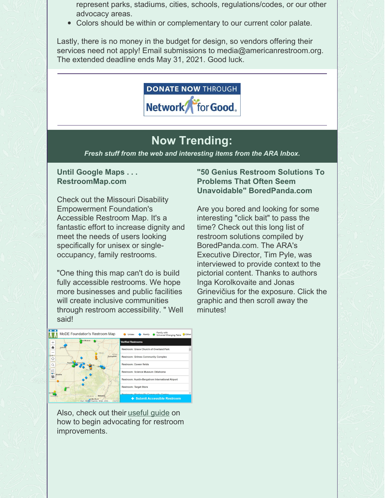represent parks, stadiums, cities, schools, regulations/codes, or our other advocacy areas.

Colors should be within or complementary to our current color palate.

Lastly, there is no money in the budget for design, so vendors offering their services need not apply! Email submissions to media@americanrestroom.org. The extended deadline ends May 31, 2021. Good luck.



## **Now Trending:**

*Fresh stuff from the web and interesting items from the ARA Inbox.*

#### **Until Google Maps . . . RestroomMap.com**

Check out the Missouri Disability Empowerment Foundation's Accessible Restroom Map. It's a fantastic effort to increase dignity and meet the needs of users looking specifically for unisex or singleoccupancy, family restrooms.

"One thing this map can't do is build fully accessible restrooms. We hope more businesses and public facilities will create inclusive communities through restroom accessibility. " Well said!

**"50 Genius Restroom Solutions To Problems That Often Seem Unavoidable" BoredPanda.com**

Are you bored and looking for some interesting "click bait" to pass the time? Check out this long list of restroom solutions compiled by BoredPanda.com. The ARA's Executive Director, Tim Pyle, was interviewed to provide context to the pictorial content. Thanks to authors Inga Korolkovaite and Jonas Grinevičius for the exposure. Click the graphic and then scroll away the minutes!



Also, check out their [useful](https://www.moempowerfoundation.com/advocate-for-restroom) guide on how to begin advocating for restroom improvements.